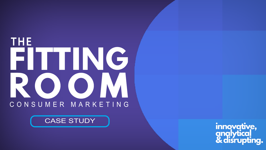## THE FITING ROOM CONSUMER MARKETIN G

#### CASE STUDY

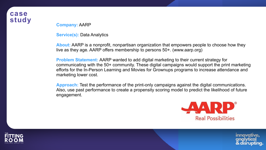### **case**

**study Company:** AARP

**Service(s):** Data Analytics

**About:** AARP is a nonprofit, nonpartisan organization that empowers people to choose how they live as they age. AARP offers membership to persons 50+. (www.aarp.org)

**Problem Statement:** AARP wanted to add digital marketing to their current strategy for communicating with the 50+ community. These digital campaigns would support the print marketing efforts for the In-Person Learning and Movies for Grownups programs to increase attendance and marketing lower cost.

**Approach:** Test the performance of the print-only campaigns against the digital communications. Also, use past performance to create a propensity scoring model to predict the likelihood of future engagement.



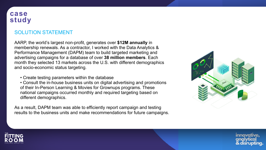#### **case study**







#### SOLUTION STATEMENT

AARP, the world's largest non-profit, generates over **\$12M annually** in membership renewals. As a contractor, I worked with the Data Analytics & Performance Management (DAPM) team to build targeted marketing and advertising campaigns for a database of over **38 million members**. Each month they selected 13 markets across the U.S. with different demographics and socio-economic status targeting.

• Create testing parameters within the database

• Consult the in-house business units on digital advertising and promotions of their In-Person Learning & Movies for Grownups programs. These national campaigns occurred monthly and required targeting based on different demographics.

As a result, DAPM team was able to efficiently report campaign and testing results to the business units and make recommendations for future campaigns.